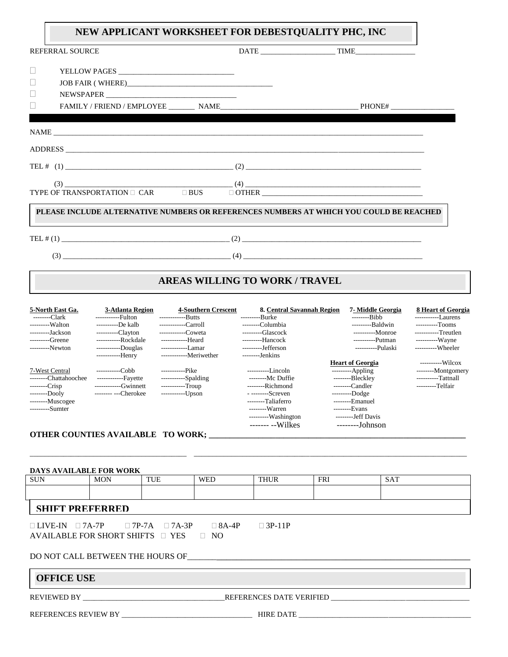## **NEW APPLICANT WORKSHEET FOR DEBESTQUALITY PHC, INC**

| <b>REFERRAL SOURCE</b> |  | $\begin{tabular}{c} DATE & \textcolor{red}{\textbf{11} } \textbf{12} \textbf{13} \textbf{14} \textbf{15} \textbf{16} \textbf{17} \textbf{18} \textbf{18} \textbf{19} \textbf{18} \textbf{19} \textbf{19} \textbf{19} \textbf{18} \textbf{19} \textbf{19} \textbf{19} \textbf{19} \textbf{19} \textbf{19} \textbf{19} \textbf{19} \textbf{19} \textbf{19} \textbf{19} \textbf{19} \textbf{19} \textbf{19$ |
|------------------------|--|----------------------------------------------------------------------------------------------------------------------------------------------------------------------------------------------------------------------------------------------------------------------------------------------------------------------------------------------------------------------------------------------------------|
|                        |  |                                                                                                                                                                                                                                                                                                                                                                                                          |
|                        |  |                                                                                                                                                                                                                                                                                                                                                                                                          |
|                        |  |                                                                                                                                                                                                                                                                                                                                                                                                          |
|                        |  |                                                                                                                                                                                                                                                                                                                                                                                                          |
|                        |  |                                                                                                                                                                                                                                                                                                                                                                                                          |
|                        |  |                                                                                                                                                                                                                                                                                                                                                                                                          |
|                        |  | ADDRESS                                                                                                                                                                                                                                                                                                                                                                                                  |
|                        |  |                                                                                                                                                                                                                                                                                                                                                                                                          |
| (3)                    |  | $\overline{\phantom{a}}$ (4) $\overline{\phantom{a}}$                                                                                                                                                                                                                                                                                                                                                    |
|                        |  |                                                                                                                                                                                                                                                                                                                                                                                                          |
|                        |  | PLEASE INCLUDE ALTERNATIVE NUMBERS OR REFERENCES NUMBERS AT WHICH YOU COULD BE REACHED                                                                                                                                                                                                                                                                                                                   |
|                        |  |                                                                                                                                                                                                                                                                                                                                                                                                          |
|                        |  |                                                                                                                                                                                                                                                                                                                                                                                                          |

# **AREAS WILLING TO WORK / TRAVEL**

| 5-North East Ga.      | 3-Atlanta Region     | <b>4-Southern Crescent</b> | 8. Central Savannah Region | 7- Middle Georgia       | 8 Heart of Georgia  |
|-----------------------|----------------------|----------------------------|----------------------------|-------------------------|---------------------|
| --------Clark         | -----------Fulton    | -------------Butts         | ----------Burke            | ---------Bibb           | ------------Laurens |
| ---------Walton       | $----De$ kalb        | ------------Carroll        | -------Columbia            | ----------Baldwin       | ----------Tooms     |
| ---------Jackson      | $----Clavton$        | -------------Coweta        | $----Glascock$             | -----------Monroe       | -----------Treutlen |
| ---------Greene       | ------------Rockdale | -------------Heard         | ---------Hancock           | $---Putman$             | ----------Wayne     |
| ---------Newton       | -----------Douglas   | -------------Lamar         | ---------Jefferson         | -----------Pulaski      | -----------Wheeler  |
|                       | ------------Henry    | -------------Meriwether    | --------Jenkins            |                         |                     |
|                       |                      |                            |                            | <b>Heart of Georgia</b> | $---Wilcov$         |
| 7-West Central        | -----------Cobh      | ------------Pike           | -----------Lincoln         | $---$ Appling           | --------Montgomery  |
| --------Chattahoochee | -------------Fayette | $---Spalding$              | ---------Mc Duffie         | --------Bleckley        | ----------Tattnall  |
| $---Crisp$            | ------------Gwinnett | $----Troup$                | --------Richmond           | --------Candler         | ---------Telfair    |
| $---Dooly$            | -------- ---Cherokee | $---Upson$                 | $---Screven$               | $---Dodge$              |                     |
| $---Muscogee$         |                      |                            | --------Taliaferro         | $---Emanuel$            |                     |
| ---------Sumter       |                      |                            | --------Warren             | $---Exans$              |                     |
|                       |                      |                            | ---------Washington        | --------Jeff Davis      |                     |
|                       |                      |                            | $---- -Wilkes$             | $---Johnson$            |                     |

#### **OTHER COUNTIES AVAILABLE TO WORK; \_\_\_\_\_\_\_\_\_\_\_\_\_\_\_\_\_\_\_\_\_\_\_\_\_\_\_\_\_\_\_\_\_\_\_\_\_\_\_\_\_\_\_\_\_\_\_\_\_\_\_\_\_\_\_\_\_\_\_\_\_\_**

#### **DAYS AVAILABLE FOR WORK**

| SUN | <b>MON</b> | <b>THEFT</b><br>1 U D | <b>WED</b> | <b>THILD</b><br><b>INUN</b> | <b>FRI</b> | <b>SAT</b> |  |  |  |
|-----|------------|-----------------------|------------|-----------------------------|------------|------------|--|--|--|
|     |            |                       |            |                             |            |            |  |  |  |
|     |            |                       |            |                             |            |            |  |  |  |

\_\_\_\_\_\_\_\_\_\_\_\_\_\_\_\_\_\_\_\_\_\_\_\_\_\_\_\_\_\_\_\_\_\_\_\_\_\_\_\_\_\_ \_\_\_\_\_\_\_\_\_\_\_\_\_\_\_\_\_\_\_\_\_\_\_\_\_\_\_\_\_\_\_\_\_\_\_\_\_\_\_\_\_\_\_\_\_\_\_\_\_\_\_\_\_\_\_\_\_\_\_\_\_\_\_\_\_\_\_\_\_\_\_\_\_

## **SHIFT PREFERRED**

 $\Box$  LIVE-IN  $\Box$  7A-7P  $\Box$  7P-7A  $\Box$  7A-3P  $\Box$  8A-4P  $\Box$  3P-11P AVAILABLE FOR SHORT SHIFTS  $\Box$  YES  $\Box$  NO

### DO NOT CALL BETWEEN THE HOURS OF\_\_\_\_\_\_\_\_\_\_\_\_\_\_\_\_\_\_\_\_\_\_\_\_\_\_\_\_\_\_\_\_\_\_\_\_\_\_\_\_\_\_\_\_\_\_\_\_\_\_\_\_\_\_\_\_\_\_

### **OFFICE USE**

REVIEWED BY \_\_\_\_\_\_\_\_\_\_\_\_\_\_\_\_\_\_\_\_\_\_\_\_\_\_\_\_\_\_\_\_\_\_\_\_\_\_REFERENCES DATE VERIFIED \_\_\_\_\_\_\_\_\_\_\_\_\_\_\_\_\_\_\_\_\_\_\_\_\_\_\_\_\_\_\_\_\_\_\_\_\_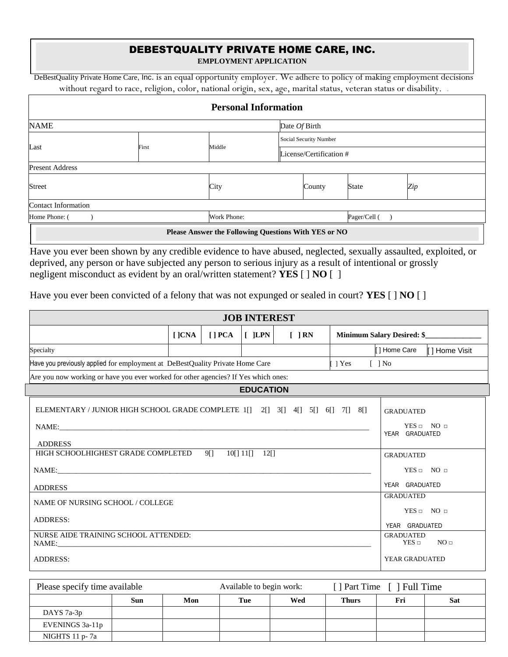# DEBESTQUALITY PRIVATE HOME CARE, INC.

**EMPLOYMENT APPLICATION**

DeBestQuality Private Home Care, Inc. is an equal opportunity employer. We adhere to policy of making employment decisions without regard to race, religion, color, national origin, sex, age, marital status, veteran status or disability. .

|                            |       |             | <b>Personal Information</b>                          |                         |              |     |  |
|----------------------------|-------|-------------|------------------------------------------------------|-------------------------|--------------|-----|--|
| <b>NAME</b>                |       |             | Date Of Birth                                        |                         |              |     |  |
|                            |       |             |                                                      | Social Security Number  |              |     |  |
| Last                       | First | Middle      |                                                      | License/Certification # |              |     |  |
| <b>Present Address</b>     |       |             |                                                      |                         |              |     |  |
| Street                     |       | City        |                                                      | County                  | <b>State</b> | Zip |  |
| <b>Contact Information</b> |       |             |                                                      |                         |              |     |  |
| Home Phone: (              |       | Work Phone: |                                                      |                         | Pager/Cell ( |     |  |
|                            |       |             | Please Answer the Following Questions With YES or NO |                         |              |     |  |

Have you ever been shown by any credible evidence to have abused, neglected, sexually assaulted, exploited, or deprived, any person or have subjected any person to serious injury as a result of intentional or grossly negligent misconduct as evident by an oral/written statement? **YES** [ ] **NO** [ ]

Have you ever been convicted of a felony that was not expunged or sealed in court? **YES** [ ] **NO** [ ]

| <b>JOB INTEREST</b>                                                                                                                                      |               |                |                             |        |                |                                                                                                                      |
|----------------------------------------------------------------------------------------------------------------------------------------------------------|---------------|----------------|-----------------------------|--------|----------------|----------------------------------------------------------------------------------------------------------------------|
|                                                                                                                                                          | $[$ $]$ $CNA$ | $\blacksquare$ | $[$ JLPN $]$                | [ ] RN |                | Minimum Salary Desired: \$                                                                                           |
| Specialty                                                                                                                                                |               |                |                             |        |                | [ ] Home Care<br>[ ] Home Visit                                                                                      |
| Have you previously applied for employment at DeBestQuality Private Home Care                                                                            |               |                |                             |        | $\lceil$   Yes | $\lceil$ 1 No                                                                                                        |
| Are you now working or have you ever worked for other agencies? If Yes which ones:                                                                       |               |                |                             |        |                |                                                                                                                      |
|                                                                                                                                                          |               |                | <b>EDUCATION</b>            |        |                |                                                                                                                      |
| ELEMENTARY / JUNIOR HIGH SCHOOL GRADE COMPLETE 1[] 2[] 3[] 4[] 5[] 6[] 7[] 8[]<br><b>ADDRESS</b><br>HIGH SCHOOLHIGHEST GRADE COMPLETED<br><b>ADDRESS</b> |               | 911            | $10[$ ] $11[$ ]<br>$12\Box$ |        |                | <b>GRADUATED</b><br>$YES \Box NO \Box$<br>YEAR GRADUATED<br><b>GRADUATED</b><br>$YES \Box NO \Box$<br>YEAR GRADUATED |
| NAME OF NURSING SCHOOL / COLLEGE<br><b>ADDRESS:</b><br>NURSE AIDE TRAINING SCHOOL ATTENDED:                                                              |               |                |                             |        |                | <b>GRADUATED</b><br>$YES \Box NO \Box$<br>YEAR GRADUATED<br><b>GRADUATED</b>                                         |
| NAME:<br><b>ADDRESS:</b>                                                                                                                                 |               |                |                             |        |                | NO <sub>□</sub><br>$YES \Box$<br>YEAR GRADUATED                                                                      |

| Please specify time available<br>Available to begin work: |     |     |     | [ ] Part Time [ ] Full Time |              |     |            |
|-----------------------------------------------------------|-----|-----|-----|-----------------------------|--------------|-----|------------|
|                                                           | Sun | Mon | Tue | Wed                         | <b>Thurs</b> | Fri | <b>Sat</b> |
| DAYS 7a-3p                                                |     |     |     |                             |              |     |            |
| EVENINGS 3a-11p                                           |     |     |     |                             |              |     |            |
| NIGHTS $11 p - 7a$                                        |     |     |     |                             |              |     |            |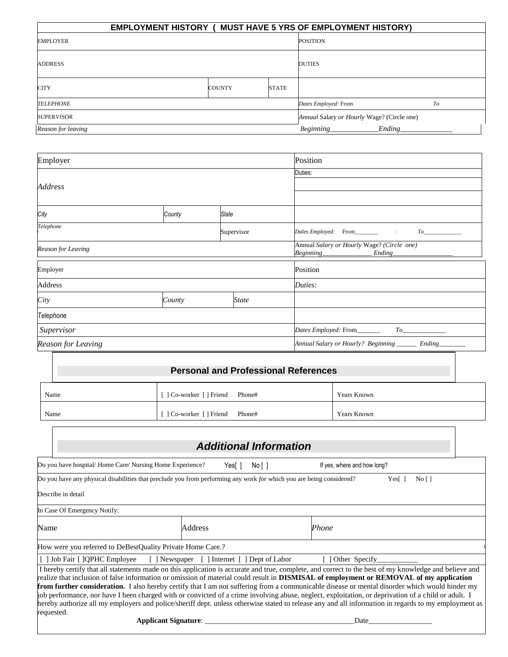|                    | <b>EMPLOYMENT HISTORY ( MUST HAVE 5 YRS OF EMPLOYMENT HISTORY)</b> |               |              |                                            |        |  |
|--------------------|--------------------------------------------------------------------|---------------|--------------|--------------------------------------------|--------|--|
| <b>EMPLOYER</b>    |                                                                    |               |              | <b>POSITION</b>                            |        |  |
| <b>ADDRESS</b>     |                                                                    |               |              | <b>DUTIES</b>                              |        |  |
| <b>CITY</b>        |                                                                    | <b>COUNTY</b> | <b>STATE</b> |                                            |        |  |
| <b>TELEPHONE</b>   |                                                                    |               |              | Dates Employed: From                       | To     |  |
| <b>SUPERVISOR</b>  |                                                                    |               |              | Annual Salary or Hourly Wage? (Circle one) |        |  |
| Reason for leaving |                                                                    |               |              | Beginning                                  | Ending |  |

| Employer           |        | Position     |              |                                                         |
|--------------------|--------|--------------|--------------|---------------------------------------------------------|
|                    |        | Duties:      |              |                                                         |
| Address            |        |              |              |                                                         |
|                    |        |              |              |                                                         |
| City               | County | <b>Slate</b> |              |                                                         |
| Telephone          |        |              | Supervisor   | To                                                      |
| Reason for Leaving |        |              |              | Annual Salary or Hourly Wage? (Circle one)              |
| Employer           |        |              |              | Position                                                |
| Address            |        |              |              | Duties:                                                 |
| City               | County |              | <b>State</b> |                                                         |
| Telephone          |        |              |              |                                                         |
| Supervisor         |        |              |              | Dates Employed: From_______                             |
| Reason for Leaving |        |              |              | Annual Salary or Hourly? Beginning _______ Ending______ |

| <b>Personal and Professional References</b> |                                 |                    |  |  |  |
|---------------------------------------------|---------------------------------|--------------------|--|--|--|
| Name                                        | [ ] Co-worker [ ] Friend Phone# | Years Known        |  |  |  |
| Name                                        | [ ] Co-worker [ ] Friend Phone# | <b>Years Known</b> |  |  |  |

|      |                                                                                                                                                                                                                                                                                                                                                                                                                                                                                                                                                                                                                                                                                                                                                                                        |         | <b>Additional Information</b>                |       |                             |                |  |
|------|----------------------------------------------------------------------------------------------------------------------------------------------------------------------------------------------------------------------------------------------------------------------------------------------------------------------------------------------------------------------------------------------------------------------------------------------------------------------------------------------------------------------------------------------------------------------------------------------------------------------------------------------------------------------------------------------------------------------------------------------------------------------------------------|---------|----------------------------------------------|-------|-----------------------------|----------------|--|
|      | Do you have hospital/Home Care/Nursing Home Experience?                                                                                                                                                                                                                                                                                                                                                                                                                                                                                                                                                                                                                                                                                                                                | Yes[]   | No [ ]                                       |       | If yes, where and how long? |                |  |
|      | Do you have any physical disabilities that preclude you from performing any work for which you are being considered?                                                                                                                                                                                                                                                                                                                                                                                                                                                                                                                                                                                                                                                                   |         |                                              |       |                             | No [ ]<br>Yes[ |  |
|      | Describe in detail                                                                                                                                                                                                                                                                                                                                                                                                                                                                                                                                                                                                                                                                                                                                                                     |         |                                              |       |                             |                |  |
|      | In Case Of Emergency Notify:                                                                                                                                                                                                                                                                                                                                                                                                                                                                                                                                                                                                                                                                                                                                                           |         |                                              |       |                             |                |  |
| Name |                                                                                                                                                                                                                                                                                                                                                                                                                                                                                                                                                                                                                                                                                                                                                                                        | Address |                                              | Phone |                             |                |  |
|      | How were you referred to DeBestQuality Private Home Care.?                                                                                                                                                                                                                                                                                                                                                                                                                                                                                                                                                                                                                                                                                                                             |         |                                              |       |                             |                |  |
|      | [ ] Job Fair [ ]QPHC Employee                                                                                                                                                                                                                                                                                                                                                                                                                                                                                                                                                                                                                                                                                                                                                          |         | [ ] Newspaper [ ] Internet [ ] Dept of Labor |       | [ ] Other Specify           |                |  |
|      | I hereby certify that all statements made on this application is accurate and true, complete, and correct to the best of my knowledge and believe and<br>realize that inclusion of false information or omission of material could result in <b>DISMISAL</b> of employment or REMOVAL of my application<br>from further consideration. I also hereby certify that I am not suffering from a communicable disease or mental disorder which would hinder my<br>job performance, nor have I been charged with or convicted of a crime involving abuse, neglect, exploitation, or deprivation of a child or adult. I<br>hereby authorize all my employers and police/sheriff dept. unless otherwise stated to release any and all information in regards to my employment as<br>requested. |         |                                              |       |                             |                |  |
|      | <b>Applicant Signature:</b>                                                                                                                                                                                                                                                                                                                                                                                                                                                                                                                                                                                                                                                                                                                                                            |         |                                              |       | Date                        |                |  |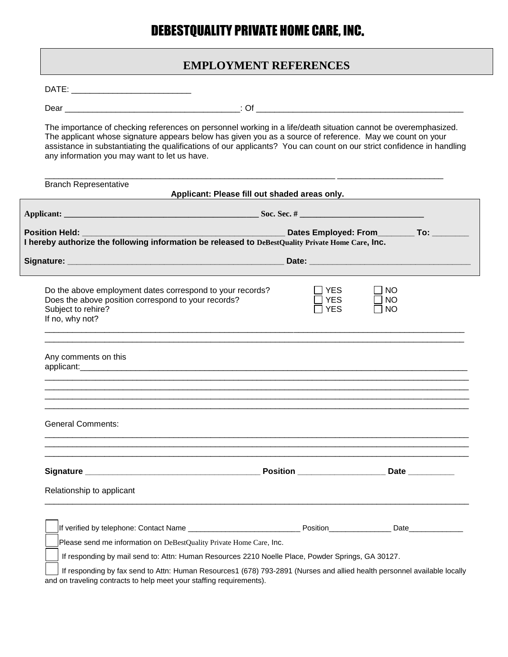# DEBESTQUALITY PRIVATE HOME CARE, INC.

# **EMPLOYMENT REFERENCES**

DATE: \_\_\_\_\_\_\_\_\_\_\_\_\_\_\_\_\_\_\_\_\_\_\_\_\_\_

Dear \_\_\_\_\_\_\_\_\_\_\_\_\_\_\_\_\_\_\_\_\_\_\_\_\_\_\_\_\_\_\_\_\_\_\_\_\_\_: Of \_\_\_\_\_\_\_\_\_\_\_\_\_\_\_\_\_\_\_\_\_\_\_\_\_\_\_\_\_\_\_\_\_\_\_\_\_\_\_\_\_\_\_\_\_

The importance of checking references on personnel working in a life/death situation cannot be overemphasized. The applicant whose signature appears below has given you as a source of reference. May we count on your assistance in substantiating the qualifications of our applicants? You can count on our strict confidence in handling any information you may want to let us have.

\_\_\_\_\_\_\_\_\_\_\_\_\_\_\_\_\_\_\_\_\_\_\_\_\_\_\_\_\_\_\_\_\_\_\_\_\_\_\_\_\_\_\_\_\_\_\_\_\_\_\_\_\_\_\_\_\_\_\_\_\_\_\_ \_\_\_\_\_\_\_\_\_\_\_\_\_\_\_\_\_\_\_\_\_\_\_

| <u> 1989 - Johann Barn, mars eta bat e</u><br>Dates Employed: From___________ To: ________<br>Position Held: <b>Provide</b><br>I hereby authorize the following information be released to DeBestQuality Private Home Care, Inc. |                                                                                                                  |  |  |  |  |  |  |  |
|----------------------------------------------------------------------------------------------------------------------------------------------------------------------------------------------------------------------------------|------------------------------------------------------------------------------------------------------------------|--|--|--|--|--|--|--|
|                                                                                                                                                                                                                                  |                                                                                                                  |  |  |  |  |  |  |  |
| $\sqsupset$ YES<br>$\sqcap$ YES<br>$\sqsupset$ YES                                                                                                                                                                               | <b>NO</b><br><b>NO</b><br><b>NO</b>                                                                              |  |  |  |  |  |  |  |
| applicant: exploration of the contract of the contract of the contract of the contract of the contract of the contract of the contract of the contract of the contract of the contract of the contract of the contract of the    |                                                                                                                  |  |  |  |  |  |  |  |
|                                                                                                                                                                                                                                  |                                                                                                                  |  |  |  |  |  |  |  |
|                                                                                                                                                                                                                                  |                                                                                                                  |  |  |  |  |  |  |  |
|                                                                                                                                                                                                                                  |                                                                                                                  |  |  |  |  |  |  |  |
| Please send me information on DeBestQuality Private Home Care, Inc.                                                                                                                                                              |                                                                                                                  |  |  |  |  |  |  |  |
|                                                                                                                                                                                                                                  | Do the above employment dates correspond to your records?<br>Does the above position correspond to your records? |  |  |  |  |  |  |  |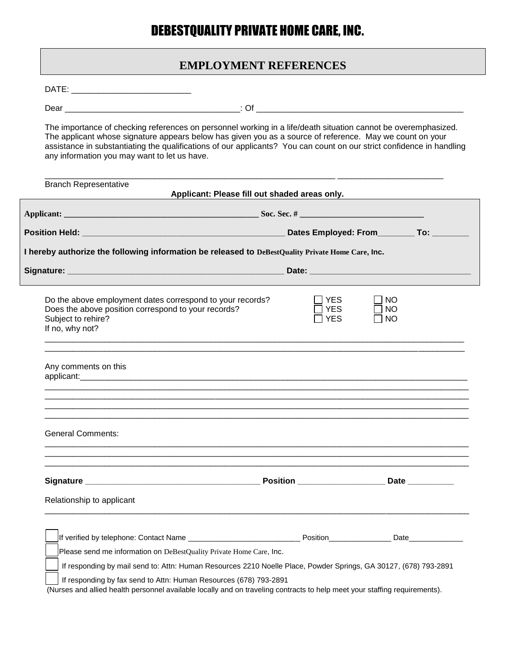# DEBESTQUALITY PRIVATE HOME CARE, INC.

# **EMPLOYMENT REFERENCES**

DATE: \_\_\_\_\_\_\_\_\_\_\_\_\_\_\_\_\_\_\_\_\_\_\_\_\_\_

Dear \_\_\_\_\_\_\_\_\_\_\_\_\_\_\_\_\_\_\_\_\_\_\_\_\_\_\_\_\_\_\_\_\_\_\_\_\_\_: Of \_\_\_\_\_\_\_\_\_\_\_\_\_\_\_\_\_\_\_\_\_\_\_\_\_\_\_\_\_\_\_\_\_\_\_\_\_\_\_\_\_\_\_\_\_

The importance of checking references on personnel working in a life/death situation cannot be overemphasized. The applicant whose signature appears below has given you as a source of reference. May we count on your assistance in substantiating the qualifications of our applicants? You can count on our strict confidence in handling any information you may want to let us have.

|                                                                                                                                                                                                                                                        | Applicant: Please fill out shaded areas only. |                                     |  |  |  |  |  |  |
|--------------------------------------------------------------------------------------------------------------------------------------------------------------------------------------------------------------------------------------------------------|-----------------------------------------------|-------------------------------------|--|--|--|--|--|--|
|                                                                                                                                                                                                                                                        |                                               |                                     |  |  |  |  |  |  |
|                                                                                                                                                                                                                                                        |                                               |                                     |  |  |  |  |  |  |
| I hereby authorize the following information be released to DeBestQuality Private Home Care, Inc.                                                                                                                                                      |                                               |                                     |  |  |  |  |  |  |
|                                                                                                                                                                                                                                                        |                                               |                                     |  |  |  |  |  |  |
| Do the above employment dates correspond to your records?<br>Does the above position correspond to your records?<br>Subject to rehire?<br>If no, why not?                                                                                              | YES.<br><b>YES</b><br><b>YES</b>              | <b>NO</b><br><b>NO</b><br><b>NO</b> |  |  |  |  |  |  |
| Any comments on this<br>applicant: exploration of the state of the state of the state of the state of the state of the state of the state of the state of the state of the state of the state of the state of the state of the state of the state of t |                                               |                                     |  |  |  |  |  |  |
| <b>General Comments:</b>                                                                                                                                                                                                                               |                                               |                                     |  |  |  |  |  |  |
|                                                                                                                                                                                                                                                        |                                               |                                     |  |  |  |  |  |  |
| Relationship to applicant                                                                                                                                                                                                                              |                                               |                                     |  |  |  |  |  |  |
|                                                                                                                                                                                                                                                        |                                               |                                     |  |  |  |  |  |  |
| Please send me information on DeBestQuality Private Home Care, Inc.                                                                                                                                                                                    |                                               |                                     |  |  |  |  |  |  |
| If responding by mail send to: Attn: Human Resources 2210 Noelle Place, Powder Springs, GA 30127, (678) 793-2891                                                                                                                                       |                                               |                                     |  |  |  |  |  |  |
| If responding by fax send to Attn: Human Resources (678) 793-2891                                                                                                                                                                                      |                                               |                                     |  |  |  |  |  |  |

(Nurses and allied health personnel available locally and on traveling contracts to help meet your staffing requirements).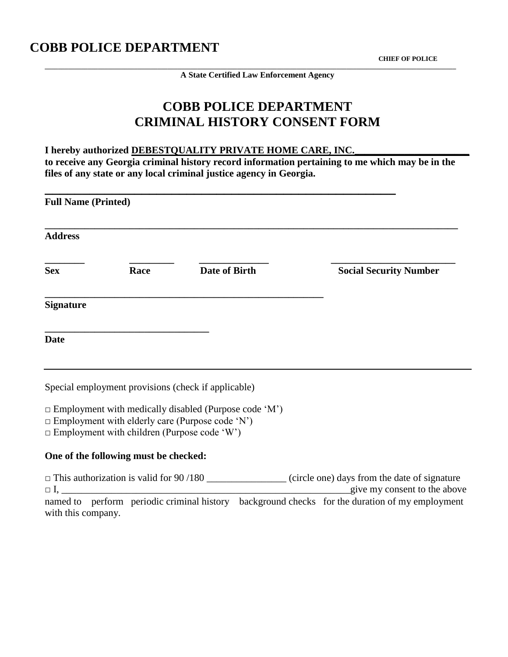# **COBB POLICE DEPARTMENT**

 **CHIEF OF POLICE**

**A State Certified Law Enforcement Agency**

**\_\_\_\_\_\_\_\_\_\_\_\_\_\_\_\_\_\_\_\_\_\_\_\_\_\_\_\_\_\_\_\_\_\_\_\_\_\_\_\_\_\_\_\_\_\_\_\_\_\_\_\_\_\_\_\_\_\_\_\_\_\_\_\_\_\_\_\_\_\_\_\_\_\_\_\_\_\_\_\_\_\_\_\_\_\_\_\_\_\_\_\_\_\_\_\_\_\_\_\_\_\_\_\_\_\_\_\_\_\_\_\_\_\_\_\_\_\_\_\_\_\_\_\_**

# **COBB POLICE DEPARTMENT CRIMINAL HISTORY CONSENT FORM**

**I hereby authorized DEBESTQUALITY PRIVATE HOME CARE, INC. to receive any Georgia criminal history record information pertaining to me which may be in the files of any state or any local criminal justice agency in Georgia.**

| <b>Full Name (Printed)</b> |      |                      |                               |  |  |  |  |
|----------------------------|------|----------------------|-------------------------------|--|--|--|--|
| <b>Address</b>             |      |                      |                               |  |  |  |  |
| <b>Sex</b>                 | Race | <b>Date of Birth</b> | <b>Social Security Number</b> |  |  |  |  |
| <b>Signature</b>           |      |                      |                               |  |  |  |  |
| <b>Date</b>                |      |                      |                               |  |  |  |  |

Special employment provisions (check if applicable)

 $\square$  Employment with medically disabled (Purpose code 'M')

 $\Box$  Employment with elderly care (Purpose code 'N')

 $\square$  Employment with children (Purpose code 'W')

# **One of the following must be checked:**

 $\Box$  This authorization is valid for 90/180 \_\_\_\_\_\_\_\_\_\_\_\_\_\_\_\_\_ (circle one) days from the date of signature  $\Box$  I,  $\Box$  is the above give my consent to the above named to perform periodic criminal history background checks for the duration of my employment with this company.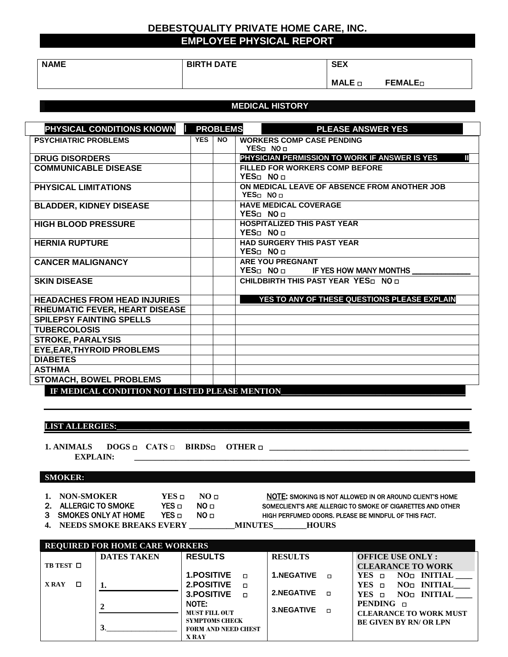# **DEBESTQUALITY PRIVATE HOME CARE, INC. EMPLOYEE PHYSICAL REPORT**

| <b>NAME</b> | <b>BIRTH DATE</b> | <b>SEX</b>       |                  |
|-------------|-------------------|------------------|------------------|
|             |                   | $MALE$ $\square$ | FFMAI F-<br>┒▃▃∟ |

### **MEDICAL HISTORY**

| PHYSICAL CONDITIONS KNOWN                                                                |            | <b>PROBLEMS</b> | <b>PLEASE ANSWER YES</b>                                                                                |
|------------------------------------------------------------------------------------------|------------|-----------------|---------------------------------------------------------------------------------------------------------|
| <b>PSYCHIATRIC PROBLEMS</b>                                                              | <b>YES</b> | <b>NO</b>       | <b>WORKERS COMP CASE PENDING</b>                                                                        |
|                                                                                          |            |                 | YES <sub>D</sub> NO <sub>D</sub>                                                                        |
| <b>DRUG DISORDERS</b>                                                                    |            |                 | PHYSICIAN PERMISSION TO WORK IF ANSWER IS YES<br>Ш                                                      |
| <b>COMMUNICABLE DISEASE</b>                                                              |            |                 | <b>FILLED FOR WORKERS COMP BEFORE</b>                                                                   |
|                                                                                          |            |                 | YES <sub>D</sub> NO <sub>D</sub>                                                                        |
| <b>PHYSICAL LIMITATIONS</b>                                                              |            |                 | ON MEDICAL LEAVE OF ABSENCE FROM ANOTHER JOB                                                            |
|                                                                                          |            |                 | YES <sub>□</sub> NO <sub>□</sub>                                                                        |
| <b>BLADDER, KIDNEY DISEASE</b>                                                           |            |                 | <b>HAVE MEDICAL COVERAGE</b>                                                                            |
|                                                                                          |            |                 | YES <sub>D</sub> NO <sub>D</sub>                                                                        |
| <b>HIGH BLOOD PRESSURE</b>                                                               |            |                 | <b>HOSPITALIZED THIS PAST YEAR</b><br>YES <sub>D</sub> NO <sub>D</sub>                                  |
|                                                                                          |            |                 |                                                                                                         |
| <b>HERNIA RUPTURE</b>                                                                    |            |                 | <b>HAD SURGERY THIS PAST YEAR</b><br>YES <sub>0</sub> NO <sub>D</sub>                                   |
|                                                                                          |            |                 |                                                                                                         |
| <b>CANCER MALIGNANCY</b>                                                                 |            |                 | <b>ARE YOU PREGNANT</b><br>YES <sub><math>\square</math></sub> NO $\square$ IF YES HOW MANY MONTHS ____ |
| <b>SKIN DISEASE</b>                                                                      |            |                 | CHILDBIRTH THIS PAST YEAR YES nO n                                                                      |
|                                                                                          |            |                 |                                                                                                         |
| <b>HEADACHES FROM HEAD INJURIES</b>                                                      |            |                 | YES TO ANY OF THESE QUESTIONS PLEASE EXPLAIN                                                            |
| RHEUMATIC FEVER, HEART DISEASE                                                           |            |                 |                                                                                                         |
| <b>SPILEPSY FAINTING SPELLS</b>                                                          |            |                 |                                                                                                         |
| <b>TUBERCOLOSIS</b>                                                                      |            |                 |                                                                                                         |
| <b>STROKE, PARALYSIS</b>                                                                 |            |                 |                                                                                                         |
| <b>EYE, EAR, THYROID PROBLEMS</b>                                                        |            |                 |                                                                                                         |
| <b>DIABETES</b>                                                                          |            |                 |                                                                                                         |
| <b>ASTHMA</b>                                                                            |            |                 |                                                                                                         |
|                                                                                          |            |                 |                                                                                                         |
| <b>STOMACH, BOWEL PROBLEMS</b><br><b>IDMONDIALE COMPAINANT MORE LORD BLDLOD MEMORIAL</b> |            |                 |                                                                                                         |

IF MEDICAL CONDITION NOT LISTED PLEASE MENTION\_\_\_\_\_

**LIST ALLERGIES:** 

**1. ANIMALS DOGS** □ **CATS □ BIRDS**□ **OTHER** □ **\_\_\_\_\_\_\_\_\_\_\_\_\_\_\_\_\_\_\_\_\_\_\_\_\_\_\_\_\_\_\_\_\_\_\_\_\_\_\_\_\_\_\_\_\_\_\_\_ EXPLAIN: \_\_\_\_\_\_\_\_\_\_\_\_\_\_\_\_\_\_\_\_\_\_\_\_\_\_\_\_\_\_\_\_\_\_\_\_\_\_\_\_\_\_\_\_\_\_\_\_\_\_\_\_\_\_\_\_\_\_\_\_\_\_\_\_\_\_\_\_\_\_\_\_\_\_\_\_\_\_\_\_\_**

### **SMOKER:**

- 
- -

**1. NON-SMOKER YES □ NO □ NOTE: SMOKING IS NOT ALLOWED IN OR AROUND CLIENT'S HOME** 2. ALLERGIC TO SMOKE YES □ NO □ SOMECLIENT'S ARE ALLERGIC TO SMOKE OF CIGARETTES AND OTHER 3 SMOKES ONLY AT HOME YES □ NO □ HIGH PERFUMED ODORS. PLEASE BE MINDFUL OF THIS FACT.

**4. NEEDS SMOKE BREAKS EVERY \_\_\_\_\_\_\_\_\_\_\_MINUTES\_\_\_\_\_\_\_\_HOURS**

**REQUIRED FOR HOME CARE WORKERS TB TEST** □ **X RAY** □ **DATES TAKEN 1. 2 3**.\_\_\_\_\_\_\_\_\_\_\_\_\_\_\_\_\_ **RESULTS 1.POSITIVE** □ **2.POSITIVE** □ **3.POSITIVE** □ NOTE: **MUST FILL OUT SYMPTOMS CHECK FORM AND NEED CHEST X RAY RESULTS 1.NEGATIVE** □ **2.NEGATIVE** □ **3.NEGATIVE** □ **OFFICE USE ONLY : CLEARANCE TO WORK<br>YES <b>D** NO<sub>D</sub> INITIAL **YES** □ **NO**□ **INITIAL \_\_\_\_ YES** □ **NO**□ **INITIAL\_\_\_\_ YES** □ **NO**□ **INITIAL \_\_\_\_ PENDING** □ **CLEARANCE TO WORK MUST BE GIVEN BY RN/ OR LPN**

- -
-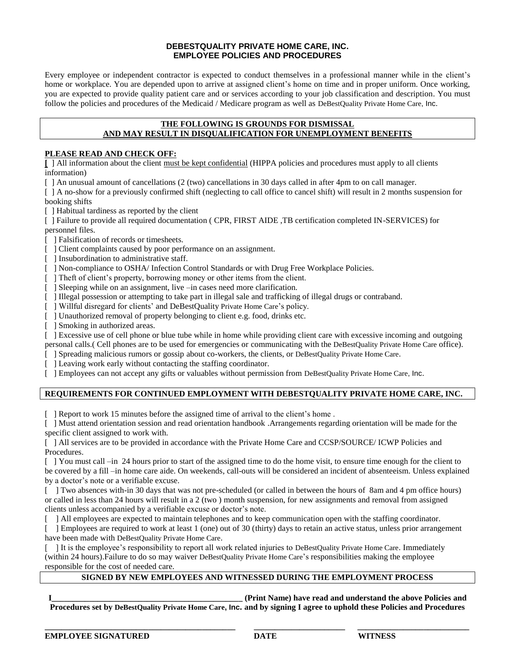### **DEBESTQUALITY PRIVATE HOME CARE, INC. EMPLOYEE POLICIES AND PROCEDURES**

Every employee or independent contractor is expected to conduct themselves in a professional manner while in the client's home or workplace. You are depended upon to arrive at assigned client's home on time and in proper uniform. Once working, you are expected to provide quality patient care and or services according to your job classification and description. You must follow the policies and procedures of the Medicaid / Medicare program as well as DeBestQuality Private Home Care, Inc.

### **THE FOLLOWING IS GROUNDS FOR DISMISSAL AND MAY RESULT IN DISQUALIFICATION FOR UNEMPLOYMENT BENEFITS**

### **PLEASE READ AND CHECK OFF:**

**[** ] All information about the client must be kept confidential (HIPPA policies and procedures must apply to all clients information)

[ ] An unusual amount of cancellations (2 (two) cancellations in 30 days called in after 4pm to on call manager.

[ ] A no-show for a previously confirmed shift (neglecting to call office to cancel shift) will result in 2 months suspension for booking shifts

[ ] Habitual tardiness as reported by the client

[ ] Failure to provide all required documentation ( CPR, FIRST AIDE ,TB certification completed IN-SERVICES) for personnel files.

- [ ] Falsification of records or timesheets.
- [  $\Box$ ] Client complaints caused by poor performance on an assignment.
- [ ] Insubordination to administrative staff.
- [ ] Non-compliance to OSHA/ Infection Control Standards or with Drug Free Workplace Policies.
- [ ] Theft of client's property, borrowing money or other items from the client.
- [ ] Sleeping while on an assignment, live –in cases need more clarification.
- [ ] Illegal possession or attempting to take part in illegal sale and trafficking of illegal drugs or contraband.
- [ ] Willful disregard for clients' and DeBestQuality Private Home Care's policy.
- [ ] Unauthorized removal of property belonging to client e.g. food, drinks etc.
- [ ] Smoking in authorized areas.

[ ] Excessive use of cell phone or blue tube while in home while providing client care with excessive incoming and outgoing personal calls.( Cell phones are to be used for emergencies or communicating with the DeBestQuality Private Home Care office).

- [ ] Spreading malicious rumors or gossip about co-workers, the clients, or DeBestQuality Private Home Care.
- [ ] Leaving work early without contacting the staffing coordinator.

[ ] Employees can not accept any gifts or valuables without permission from DeBestQuality Private Home Care, Inc.

## **REQUIREMENTS FOR CONTINUED EMPLOYMENT WITH DEBESTQUALITY PRIVATE HOME CARE, INC.**

[ ] Report to work 15 minutes before the assigned time of arrival to the client's home .

[ ] Must attend orientation session and read orientation handbook .Arrangements regarding orientation will be made for the specific client assigned to work with.

[ ] All services are to be provided in accordance with the Private Home Care and CCSP/SOURCE/ ICWP Policies and Procedures.

[ ] You must call –in 24 hours prior to start of the assigned time to do the home visit, to ensure time enough for the client to be covered by a fill –in home care aide. On weekends, call-outs will be considered an incident of absenteeism. Unless explained by a doctor's note or a verifiable excuse.

[ ] Two absences with-in 30 days that was not pre-scheduled (or called in between the hours of 8am and 4 pm office hours) or called in less than 24 hours will result in a 2 (two ) month suspension, for new assignments and removal from assigned clients unless accompanied by a verifiable excuse or doctor's note.

[ ] All employees are expected to maintain telephones and to keep communication open with the staffing coordinator.

[ ] Employees are required to work at least 1 (one) out of 30 (thirty) days to retain an active status, unless prior arrangement have been made with DeBestQuality Private Home Care.

[ ] It is the employee's responsibility to report all work related injuries to DeBestQuality Private Home Care. Immediately (within 24 hours).Failure to do so may waiver DeBestQuality Private Home Care's responsibilities making the employee responsible for the cost of needed care.

### **SIGNED BY NEW EMPLOYEES AND WITNESSED DURING THE EMPLOYMENT PROCESS**

**I\_\_\_\_\_\_\_\_\_\_\_\_\_\_\_\_\_\_\_\_\_\_\_\_\_\_\_\_\_\_\_\_\_\_\_\_\_\_\_\_\_\_\_\_\_\_ (Print Name) have read and understand the above Policies and Procedures set by DeBestQuality Private Home Care, Inc. and by signing I agree to uphold these Policies and Procedures**

**\_\_\_\_\_\_\_\_\_\_\_\_\_\_\_\_\_\_\_\_\_\_\_\_\_\_\_\_\_\_\_\_\_\_\_\_\_\_\_\_\_\_\_\_\_\_ \_\_\_\_\_\_\_\_\_\_\_\_\_\_\_\_\_\_\_\_\_\_ \_\_\_\_\_\_\_\_\_\_\_\_\_\_\_\_\_\_\_\_\_\_\_\_\_\_\_**